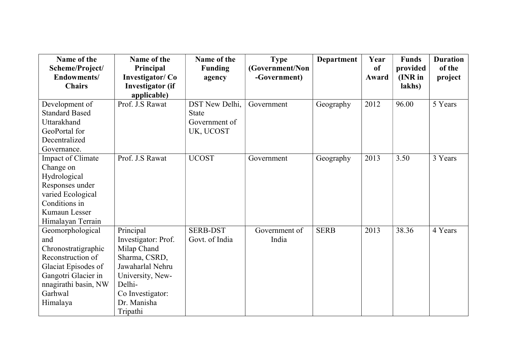| Name of the           | Name of the             | Name of the     | <b>Type</b>     | <b>Department</b> | Year  | <b>Funds</b> | <b>Duration</b> |
|-----------------------|-------------------------|-----------------|-----------------|-------------------|-------|--------------|-----------------|
| Scheme/Project/       | Principal               | <b>Funding</b>  | (Government/Non |                   | of    | provided     | of the          |
| Endowments/           | <b>Investigator/Co</b>  | agency          | -Government)    |                   | Award | (INR in      | project         |
| <b>Chairs</b>         | <b>Investigator</b> (if |                 |                 |                   |       | lakhs)       |                 |
|                       | applicable)             |                 |                 |                   |       |              |                 |
| Development of        | Prof. J.S Rawat         | DST New Delhi,  | Government      | Geography         | 2012  | 96.00        | 5 Years         |
| <b>Standard Based</b> |                         | <b>State</b>    |                 |                   |       |              |                 |
| Uttarakhand           |                         | Government of   |                 |                   |       |              |                 |
| GeoPortal for         |                         | UK, UCOST       |                 |                   |       |              |                 |
| Decentralized         |                         |                 |                 |                   |       |              |                 |
| Governance.           |                         |                 |                 |                   |       |              |                 |
| Impact of Climate     | Prof. J.S Rawat         | <b>UCOST</b>    | Government      | Geography         | 2013  | 3.50         | 3 Years         |
| Change on             |                         |                 |                 |                   |       |              |                 |
| Hydrological          |                         |                 |                 |                   |       |              |                 |
| Responses under       |                         |                 |                 |                   |       |              |                 |
| varied Ecological     |                         |                 |                 |                   |       |              |                 |
| Conditions in         |                         |                 |                 |                   |       |              |                 |
| Kumaun Lesser         |                         |                 |                 |                   |       |              |                 |
| Himalayan Terrain     |                         |                 |                 |                   |       |              |                 |
| Geomorphological      | Principal               | <b>SERB-DST</b> | Government of   | <b>SERB</b>       | 2013  | 38.36        | 4 Years         |
| and                   | Investigator: Prof.     | Govt. of India  | India           |                   |       |              |                 |
| Chronostratigraphic   | Milap Chand             |                 |                 |                   |       |              |                 |
| Reconstruction of     | Sharma, CSRD,           |                 |                 |                   |       |              |                 |
| Glaciat Episodes of   | Jawaharlal Nehru        |                 |                 |                   |       |              |                 |
| Gangotri Glacier in   | University, New-        |                 |                 |                   |       |              |                 |
| nnagirathi basin, NW  | Delhi-                  |                 |                 |                   |       |              |                 |
| Garhwal               | Co Investigator:        |                 |                 |                   |       |              |                 |
| Himalaya              | Dr. Manisha             |                 |                 |                   |       |              |                 |
|                       | Tripathi                |                 |                 |                   |       |              |                 |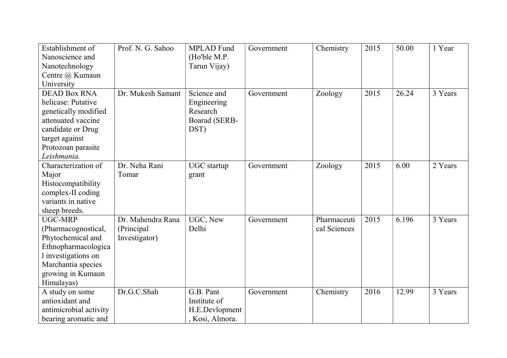| Establishment of       | Prof. N. G. Sahoo | <b>MPLAD</b> Fund | Government | Chemistry    | 2015 | 50.00 | 1 Year  |
|------------------------|-------------------|-------------------|------------|--------------|------|-------|---------|
| Nanoscience and        |                   | (Ho'ble M.P.      |            |              |      |       |         |
| Nanotechnology         |                   | Tarun Vijay)      |            |              |      |       |         |
| Centre @ Kumaun        |                   |                   |            |              |      |       |         |
| University             |                   |                   |            |              |      |       |         |
| <b>DEAD Box RNA</b>    | Dr. Mukesh Samant | Science and       | Government | Zoology      | 2015 | 26.24 | 3 Years |
| helicase: Putative     |                   | Engineering       |            |              |      |       |         |
| genetically modified   |                   | Research          |            |              |      |       |         |
| attenuated vaccine     |                   | Boarad (SERB-     |            |              |      |       |         |
| candidate or Drug      |                   | DST)              |            |              |      |       |         |
| target against         |                   |                   |            |              |      |       |         |
| Protozoan parasite     |                   |                   |            |              |      |       |         |
| Leishmania.            |                   |                   |            |              |      |       |         |
| Characterization of    | Dr. Neha Rani     | UGC startup       | Government | Zoology      | 2015 | 6.00  | 2 Years |
| Major                  | Tomar             | grant             |            |              |      |       |         |
| Histocompatibility     |                   |                   |            |              |      |       |         |
| complex-II coding      |                   |                   |            |              |      |       |         |
| variants in native     |                   |                   |            |              |      |       |         |
| sheep breeds.          |                   |                   |            |              |      |       |         |
| <b>UGC-MRP</b>         | Dr. Mahendra Rana | UGC, New          | Government | Pharmaceuti  | 2015 | 6.196 | 3 Years |
| (Pharmacognostical,    | (Principal        | Delhi             |            | cal Sciences |      |       |         |
| Phytochemical and      | Investigator)     |                   |            |              |      |       |         |
| Ethnopharmacologica    |                   |                   |            |              |      |       |         |
| l investigations on    |                   |                   |            |              |      |       |         |
| Marchantia species     |                   |                   |            |              |      |       |         |
| growing in Kumaun      |                   |                   |            |              |      |       |         |
| Himalayas)             |                   |                   |            |              |      |       |         |
| A study on some        | Dr.G.C.Shah       | G.B. Pant         | Government | Chemistry    | 2016 | 12.99 | 3 Years |
| antioxidant and        |                   | Institute of      |            |              |      |       |         |
| antimicrobial activity |                   | H.E.Devlopment    |            |              |      |       |         |
| bearing aromatic and   |                   | , Kosi, Almora.   |            |              |      |       |         |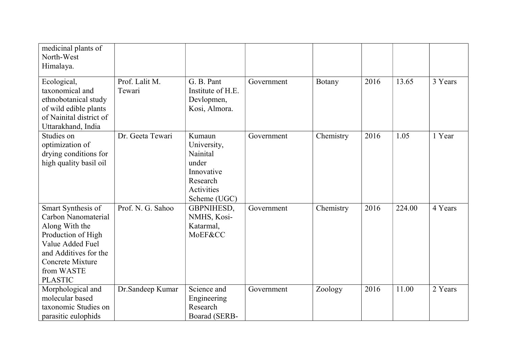| medicinal plants of<br>North-West<br>Himalaya.                                                                                                                                            |                          |                                                                                                    |            |           |      |        |         |
|-------------------------------------------------------------------------------------------------------------------------------------------------------------------------------------------|--------------------------|----------------------------------------------------------------------------------------------------|------------|-----------|------|--------|---------|
| Ecological,<br>taxonomical and<br>ethnobotanical study<br>of wild edible plants<br>of Nainital district of<br>Uttarakhand, India                                                          | Prof. Lalit M.<br>Tewari | G. B. Pant<br>Institute of H.E.<br>Devlopmen,<br>Kosi, Almora.                                     | Government | Botany    | 2016 | 13.65  | 3 Years |
| Studies on<br>optimization of<br>drying conditions for<br>high quality basil oil                                                                                                          | Dr. Geeta Tewari         | Kumaun<br>University,<br>Nainital<br>under<br>Innovative<br>Research<br>Activities<br>Scheme (UGC) | Government | Chemistry | 2016 | 1.05   | 1 Year  |
| Smart Synthesis of<br>Carbon Nanomaterial<br>Along With the<br>Production of High<br>Value Added Fuel<br>and Additives for the<br><b>Concrete Mixture</b><br>from WASTE<br><b>PLASTIC</b> | Prof. N. G. Sahoo        | GBPNIHESD,<br>NMHS, Kosi-<br>Katarmal,<br>MoEF&CC                                                  | Government | Chemistry | 2016 | 224.00 | 4 Years |
| Morphological and<br>molecular based<br>taxonomic Studies on<br>parasitic eulophids                                                                                                       | Dr.Sandeep Kumar         | Science and<br>Engineering<br>Research<br>Boarad (SERB-                                            | Government | Zoology   | 2016 | 11.00  | 2 Years |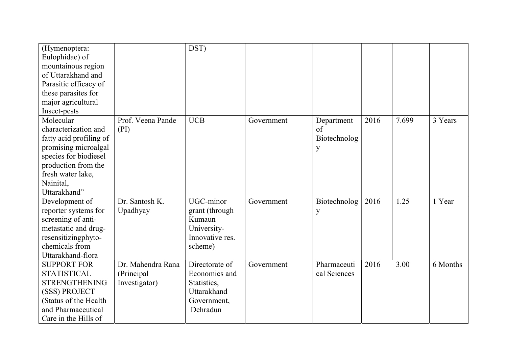| (Hymenoptera:<br>Eulophidae) of<br>mountainous region<br>of Uttarakhand and<br>Parasitic efficacy of |                   | DST)            |            |              |      |       |          |
|------------------------------------------------------------------------------------------------------|-------------------|-----------------|------------|--------------|------|-------|----------|
| these parasites for                                                                                  |                   |                 |            |              |      |       |          |
| major agricultural                                                                                   |                   |                 |            |              |      |       |          |
| Insect-pests                                                                                         |                   |                 |            |              |      |       |          |
| Molecular                                                                                            | Prof. Veena Pande | <b>UCB</b>      | Government | Department   | 2016 | 7.699 | 3 Years  |
| characterization and                                                                                 | (PI)              |                 |            | of           |      |       |          |
| fatty acid profiling of                                                                              |                   |                 |            | Biotechnolog |      |       |          |
| promising microalgal                                                                                 |                   |                 |            | y            |      |       |          |
| species for biodiesel                                                                                |                   |                 |            |              |      |       |          |
| production from the                                                                                  |                   |                 |            |              |      |       |          |
| fresh water lake,                                                                                    |                   |                 |            |              |      |       |          |
| Nainital,                                                                                            |                   |                 |            |              |      |       |          |
| Uttarakhand"                                                                                         |                   |                 |            |              |      |       |          |
| Development of                                                                                       | Dr. Santosh K.    | UGC-minor       | Government | Biotechnolog | 2016 | 1.25  | 1 Year   |
| reporter systems for                                                                                 | Upadhyay          | grant (through  |            | y            |      |       |          |
| screening of anti-                                                                                   |                   | Kumaun          |            |              |      |       |          |
| metastatic and drug-                                                                                 |                   | University-     |            |              |      |       |          |
| resensitizingphyto-                                                                                  |                   | Innovative res. |            |              |      |       |          |
| chemicals from                                                                                       |                   | scheme)         |            |              |      |       |          |
| Uttarakhand-flora                                                                                    |                   |                 |            |              |      |       |          |
| <b>SUPPORT FOR</b>                                                                                   | Dr. Mahendra Rana | Directorate of  | Government | Pharmaceuti  | 2016 | 3.00  | 6 Months |
| <b>STATISTICAL</b>                                                                                   | (Principal        | Economics and   |            | cal Sciences |      |       |          |
| <b>STRENGTHENING</b>                                                                                 | Investigator)     | Statistics,     |            |              |      |       |          |
| (SSS) PROJECT                                                                                        |                   | Uttarakhand     |            |              |      |       |          |
| (Status of the Health                                                                                |                   | Government,     |            |              |      |       |          |
| and Pharmaceutical                                                                                   |                   | Dehradun        |            |              |      |       |          |
| Care in the Hills of                                                                                 |                   |                 |            |              |      |       |          |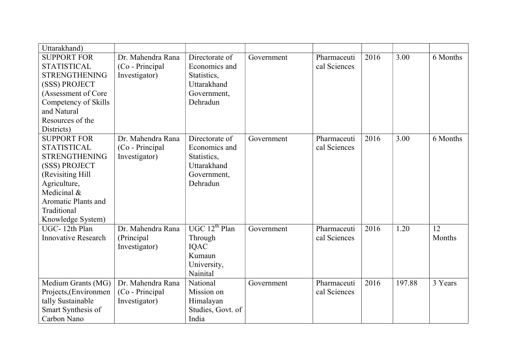| Uttarakhand)                               |                   |                                 |            |                             |      |        |          |
|--------------------------------------------|-------------------|---------------------------------|------------|-----------------------------|------|--------|----------|
| <b>SUPPORT FOR</b>                         | Dr. Mahendra Rana | Directorate of<br>Economics and | Government | Pharmaceuti<br>cal Sciences | 2016 | 3.00   | 6 Months |
| <b>STATISTICAL</b><br><b>STRENGTHENING</b> | (Co - Principal   | Statistics,                     |            |                             |      |        |          |
| (SSS) PROJECT                              | Investigator)     | Uttarakhand                     |            |                             |      |        |          |
| (Assessment of Core                        |                   | Government,                     |            |                             |      |        |          |
| Competency of Skills                       |                   | Dehradun                        |            |                             |      |        |          |
| and Natural                                |                   |                                 |            |                             |      |        |          |
| Resources of the                           |                   |                                 |            |                             |      |        |          |
| Districts)                                 |                   |                                 |            |                             |      |        |          |
| <b>SUPPORT FOR</b>                         | Dr. Mahendra Rana | Directorate of                  | Government | Pharmaceuti                 | 2016 | 3.00   | 6 Months |
| <b>STATISTICAL</b>                         | (Co - Principal   | Economics and                   |            | cal Sciences                |      |        |          |
| <b>STRENGTHENING</b>                       | Investigator)     | Statistics,                     |            |                             |      |        |          |
| (SSS) PROJECT                              |                   | Uttarakhand                     |            |                             |      |        |          |
| (Revisiting Hill                           |                   | Government,                     |            |                             |      |        |          |
| Agriculture,                               |                   | Dehradun                        |            |                             |      |        |          |
| Medicinal &                                |                   |                                 |            |                             |      |        |          |
| <b>Aromatic Plants and</b>                 |                   |                                 |            |                             |      |        |          |
| Traditional                                |                   |                                 |            |                             |      |        |          |
| Knowledge System)                          |                   |                                 |            |                             |      |        |          |
| UGC-12th Plan                              | Dr. Mahendra Rana | UGC 12 <sup>th</sup> Plan       | Government | Pharmaceuti                 | 2016 | 1.20   | 12       |
| <b>Innovative Research</b>                 | (Principal        | Through                         |            | cal Sciences                |      |        | Months   |
|                                            | Investigator)     | IQAC                            |            |                             |      |        |          |
|                                            |                   | Kumaun                          |            |                             |      |        |          |
|                                            |                   | University,                     |            |                             |      |        |          |
|                                            |                   | Nainital                        |            |                             |      |        |          |
| Medium Grants (MG)                         | Dr. Mahendra Rana | National                        | Government | Pharmaceuti                 | 2016 | 197.88 | 3 Years  |
| Projects, (Environmen                      | (Co - Principal   | Mission on                      |            | cal Sciences                |      |        |          |
| tally Sustainable                          | Investigator)     | Himalayan                       |            |                             |      |        |          |
| Smart Synthesis of                         |                   | Studies, Govt. of               |            |                             |      |        |          |
| Carbon Nano                                |                   | India                           |            |                             |      |        |          |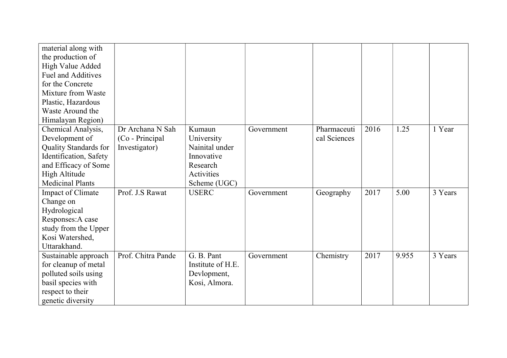| material along with<br>the production of<br>High Value Added<br><b>Fuel and Additives</b><br>for the Concrete<br>Mixture from Waste<br>Plastic, Hazardous<br>Waste Around the<br>Himalayan Region) |                                                      |                                                                                                |            |                             |      |       |         |
|----------------------------------------------------------------------------------------------------------------------------------------------------------------------------------------------------|------------------------------------------------------|------------------------------------------------------------------------------------------------|------------|-----------------------------|------|-------|---------|
| Chemical Analysis,<br>Development of<br>Quality Standards for<br>Identification, Safety<br>and Efficacy of Some<br><b>High Altitude</b><br><b>Medicinal Plants</b>                                 | Dr Archana N Sah<br>(Co - Principal<br>Investigator) | Kumaun<br>University<br>Nainital under<br>Innovative<br>Research<br>Activities<br>Scheme (UGC) | Government | Pharmaceuti<br>cal Sciences | 2016 | 1.25  | 1 Year  |
| Impact of Climate<br>Change on<br>Hydrological<br>Responses: A case<br>study from the Upper<br>Kosi Watershed,<br>Uttarakhand.                                                                     | Prof. J.S Rawat                                      | <b>USERC</b>                                                                                   | Government | Geography                   | 2017 | 5.00  | 3 Years |
| Sustainable approach<br>for cleanup of metal<br>polluted soils using<br>basil species with<br>respect to their<br>genetic diversity                                                                | Prof. Chitra Pande                                   | G. B. Pant<br>Institute of H.E.<br>Devlopment,<br>Kosi, Almora.                                | Government | Chemistry                   | 2017 | 9.955 | 3 Years |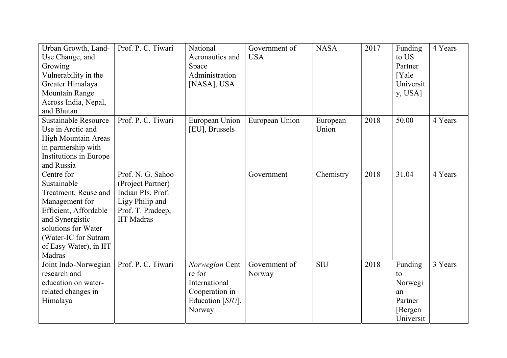| Urban Growth, Land-<br>Use Change, and<br>Growing<br>Vulnerability in the<br>Greater Himalaya<br><b>Mountain Range</b><br>Across India, Nepal,<br>and Bhutan                                       | Prof. P. C. Tiwari                                                                                                       | National<br>Aeronautics and<br>Space<br>Administration<br>[NASA], USA                     | Government of<br><b>USA</b> | <b>NASA</b>       | 2017 | Funding<br>to US<br>Partner<br>[Yale]<br>Universit<br>y, USA]      | 4 Years |
|----------------------------------------------------------------------------------------------------------------------------------------------------------------------------------------------------|--------------------------------------------------------------------------------------------------------------------------|-------------------------------------------------------------------------------------------|-----------------------------|-------------------|------|--------------------------------------------------------------------|---------|
| <b>Sustainable Resource</b><br>Use in Arctic and<br><b>High Mountain Areas</b><br>in partnership with<br>Institutions in Europe<br>and Russia                                                      | Prof. P. C. Tiwari                                                                                                       | European Union<br>[EU], Brussels                                                          | European Union              | European<br>Union | 2018 | 50.00                                                              | 4 Years |
| Centre for<br>Sustainable<br>Treatment, Reuse and<br>Management for<br>Efficient, Affordable<br>and Synergistic<br>solutions for Water<br>(Water-IC for Sutram<br>of Easy Water), in IIT<br>Madras | Prof. N. G. Sahoo<br>(Project Partner)<br>Indian PIs. Prof.<br>Ligy Philip and<br>Prof. T. Pradeep,<br><b>IIT Madras</b> |                                                                                           | Government                  | Chemistry         | 2018 | 31.04                                                              | 4 Years |
| Joint Indo-Norwegian<br>research and<br>education on water-<br>related changes in<br>Himalaya                                                                                                      | Prof. P. C. Tiwari                                                                                                       | Norwegian Cent<br>re for<br>International<br>Cooperation in<br>Education [SIU],<br>Norway | Government of<br>Norway     | <b>SIU</b>        | 2018 | Funding<br>to<br>Norwegi<br>an<br>Partner<br>[Bergen]<br>Universit | 3 Years |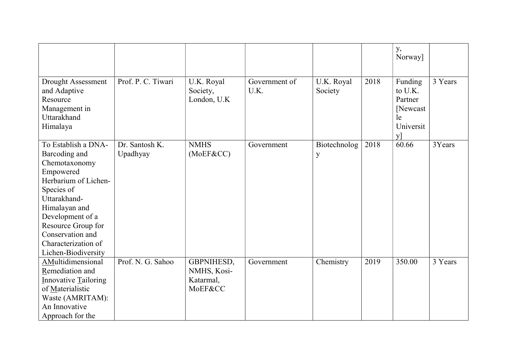|                                                                                                                                                                                                                                                       |                            |                                                   |                       |                       |      | y,<br>Norway]                                                      |         |
|-------------------------------------------------------------------------------------------------------------------------------------------------------------------------------------------------------------------------------------------------------|----------------------------|---------------------------------------------------|-----------------------|-----------------------|------|--------------------------------------------------------------------|---------|
| Drought Assessment<br>and Adaptive<br>Resource<br>Management in<br>Uttarakhand<br>Himalaya                                                                                                                                                            | Prof. P. C. Tiwari         | U.K. Royal<br>Society,<br>London, U.K             | Government of<br>U.K. | U.K. Royal<br>Society | 2018 | Funding<br>to U.K.<br>Partner<br>[Newcast]<br>le<br>Universit<br>y | 3 Years |
| To Establish a DNA-<br>Barcoding and<br>Chemotaxonomy<br>Empowered<br>Herbarium of Lichen-<br>Species of<br>Uttarakhand-<br>Himalayan and<br>Development of a<br>Resource Group for<br>Conservation and<br>Characterization of<br>Lichen-Biodiversity | Dr. Santosh K.<br>Upadhyay | <b>NMHS</b><br>(MoEF&CC)                          | Government            | Biotechnolog<br>y     | 2018 | 60.66                                                              | 3Years  |
| AMultidimensional<br>Remediation and<br><b>Innovative Tailoring</b><br>of Materialistic<br>Waste (AMRITAM):<br>An Innovative<br>Approach for the                                                                                                      | Prof. N. G. Sahoo          | GBPNIHESD,<br>NMHS, Kosi-<br>Katarmal,<br>MoEF&CC | Government            | Chemistry             | 2019 | 350.00                                                             | 3 Years |